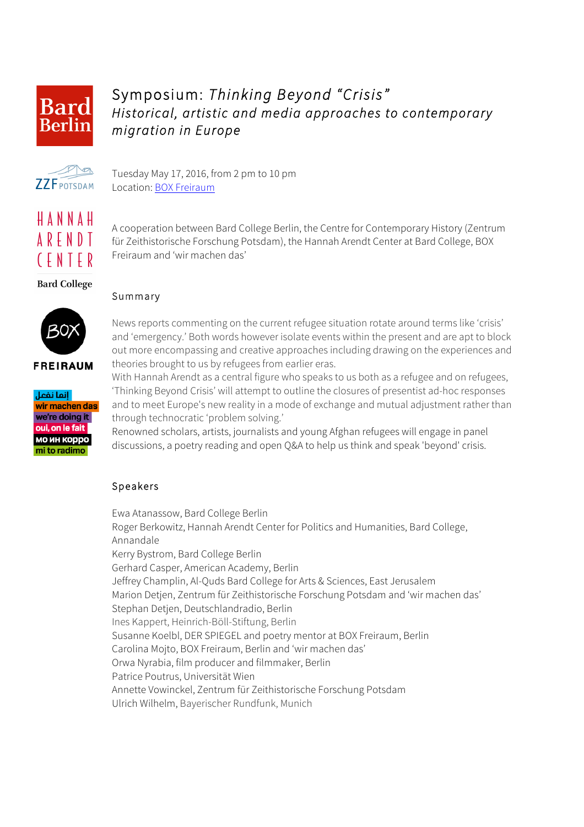

## Symposium: *Thinking Beyond "Crisis" Historical, artistic and media approaches to contemporary migration in Europe*



Tuesday May 17, 2016, from 2 pm to 10 pm Location: BOX Freiraum

HANNAH **ARFNDT** (FNTER

A cooperation between Bard College Berlin, the Centre for Contemporary History (Zentrum für Zeithistorische Forschung Potsdam), the Hannah Arendt Center at Bard College, BOX Freiraum and 'wir machen das'

**Bard College** 



**FREIRAUM** 



Summary

News reports commenting on the current refugee situation rotate around terms like 'crisis' and 'emergency.' Both words however isolate events within the present and are apt to block out more encompassing and creative approaches including drawing on the experiences and theories brought to us by refugees from earlier eras.

With Hannah Arendt as a central figure who speaks to us both as a refugee and on refugees, 'Thinking Beyond Crisis' will attempt to outline the closures of presentist ad-hoc responses and to meet Europe's new reality in a mode of exchange and mutual adjustment rather than through technocratic 'problem solving.'

Renowned scholars, artists, journalists and young Afghan refugees will engage in panel discussions, a poetry reading and open Q&A to help us think and speak 'beyond' crisis.

## Speakers

Ewa Atanassow, Bard College Berlin Roger Berkowitz, Hannah Arendt Center for Politics and Humanities, Bard College, Annandale Kerry Bystrom, Bard College Berlin Gerhard Casper, American Academy, Berlin Jeffrey Champlin, Al-Quds Bard College for Arts & Sciences, East Jerusalem Marion Detjen, Zentrum für Zeithistorische Forschung Potsdam and 'wir machen das' Stephan Detjen, Deutschlandradio, Berlin Ines Kappert, Heinrich-Böll-Stiftung, Berlin Susanne Koelbl, DER SPIEGEL and poetry mentor at BOX Freiraum, Berlin Carolina Mojto, BOX Freiraum, Berlin and 'wir machen das' Orwa Nyrabia, film producer and filmmaker, Berlin Patrice Poutrus, Universität Wien Annette Vowinckel, Zentrum für Zeithistorische Forschung Potsdam Ulrich Wilhelm, Bayerischer Rundfunk, Munich